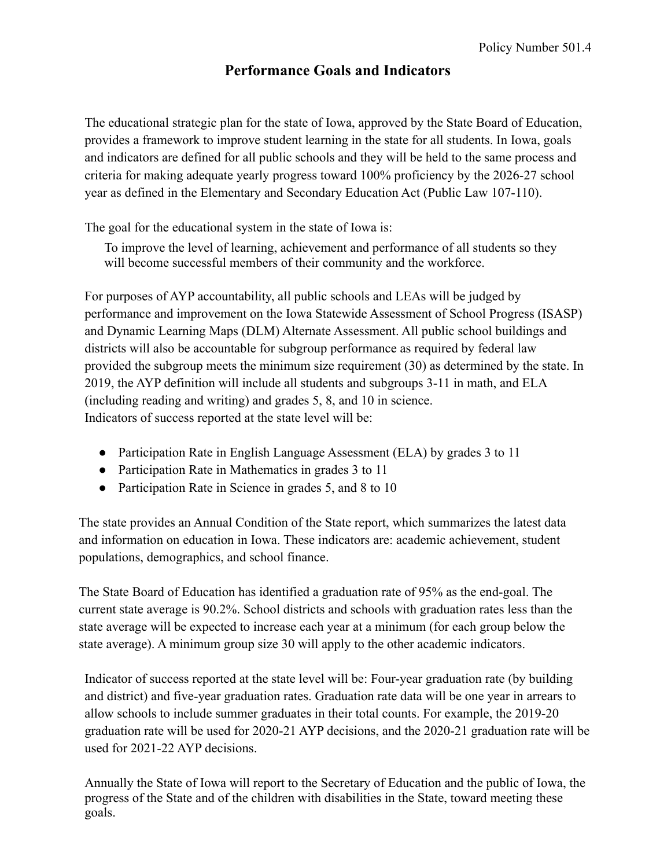## **Performance Goals and Indicators**

The educational strategic plan for the state of Iowa, approved by the State Board of Education, provides a framework to improve student learning in the state for all students. In Iowa, goals and indicators are defined for all public schools and they will be held to the same process and criteria for making adequate yearly progress toward 100% proficiency by the 2026-27 school year as defined in the Elementary and Secondary Education Act (Public Law 107-110).

The goal for the educational system in the state of Iowa is:

To improve the level of learning, achievement and performance of all students so they will become successful members of their community and the workforce.

For purposes of AYP accountability, all public schools and LEAs will be judged by performance and improvement on the Iowa Statewide Assessment of School Progress (ISASP) and Dynamic Learning Maps (DLM) Alternate Assessment. All public school buildings and districts will also be accountable for subgroup performance as required by federal law provided the subgroup meets the minimum size requirement (30) as determined by the state. In 2019, the AYP definition will include all students and subgroups 3-11 in math, and ELA (including reading and writing) and grades 5, 8, and 10 in science. Indicators of success reported at the state level will be:

- Participation Rate in English Language Assessment (ELA) by grades 3 to 11
- Participation Rate in Mathematics in grades 3 to 11
- Participation Rate in Science in grades 5, and 8 to 10

The state provides an Annual Condition of the State report, which summarizes the latest data and information on education in Iowa. These indicators are: academic achievement, student populations, demographics, and school finance.

The State Board of Education has identified a graduation rate of 95% as the end-goal. The current state average is 90.2%. School districts and schools with graduation rates less than the state average will be expected to increase each year at a minimum (for each group below the state average). A minimum group size 30 will apply to the other academic indicators.

Indicator of success reported at the state level will be: Four-year graduation rate (by building and district) and five-year graduation rates. Graduation rate data will be one year in arrears to allow schools to include summer graduates in their total counts. For example, the 2019-20 graduation rate will be used for 2020-21 AYP decisions, and the 2020-21 graduation rate will be used for 2021-22 AYP decisions.

Annually the State of Iowa will report to the Secretary of Education and the public of Iowa, the progress of the State and of the children with disabilities in the State, toward meeting these goals.